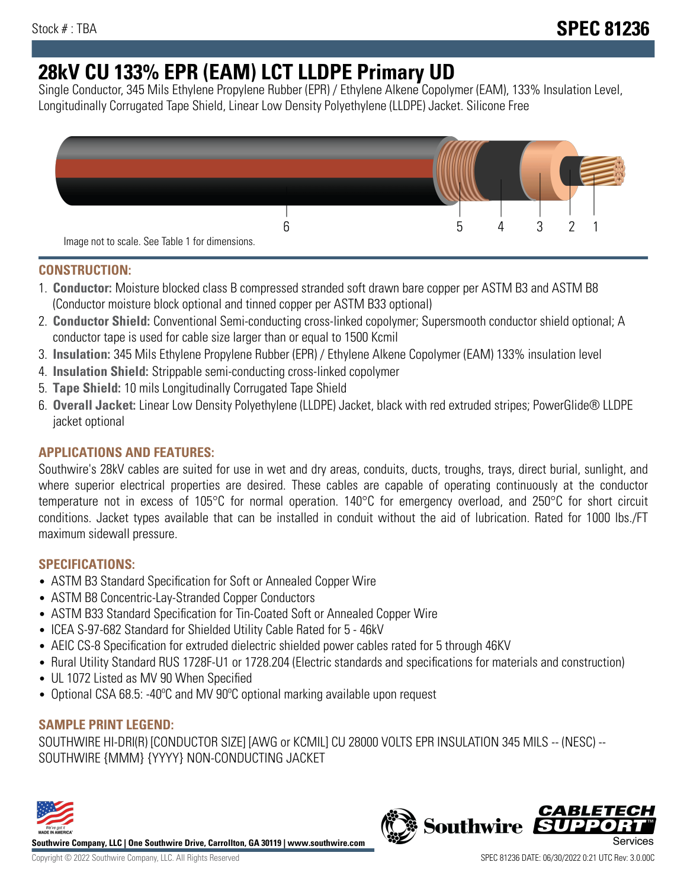# **28kV CU 133% EPR (EAM) LCT LLDPE Primary UD**

Single Conductor, 345 Mils Ethylene Propylene Rubber (EPR) / Ethylene Alkene Copolymer (EAM), 133% Insulation Level, Longitudinally Corrugated Tape Shield, Linear Low Density Polyethylene (LLDPE) Jacket. Silicone Free



### **CONSTRUCTION:**

- 1. **Conductor:** Moisture blocked class B compressed stranded soft drawn bare copper per ASTM B3 and ASTM B8 (Conductor moisture block optional and tinned copper per ASTM B33 optional)
- 2. **Conductor Shield:** Conventional Semi-conducting cross-linked copolymer; Supersmooth conductor shield optional; A conductor tape is used for cable size larger than or equal to 1500 Kcmil
- 3. **Insulation:** 345 Mils Ethylene Propylene Rubber (EPR) / Ethylene Alkene Copolymer (EAM) 133% insulation level
- 4. **Insulation Shield:** Strippable semi-conducting cross-linked copolymer
- 5. **Tape Shield:** 10 mils Longitudinally Corrugated Tape Shield
- 6. **Overall Jacket:** Linear Low Density Polyethylene (LLDPE) Jacket, black with red extruded stripes; PowerGlide® LLDPE jacket optional

# **APPLICATIONS AND FEATURES:**

Southwire's 28kV cables are suited for use in wet and dry areas, conduits, ducts, troughs, trays, direct burial, sunlight, and where superior electrical properties are desired. These cables are capable of operating continuously at the conductor temperature not in excess of 105°C for normal operation. 140°C for emergency overload, and 250°C for short circuit conditions. Jacket types available that can be installed in conduit without the aid of lubrication. Rated for 1000 lbs./FT maximum sidewall pressure.

### **SPECIFICATIONS:**

- ASTM B3 Standard Specification for Soft or Annealed Copper Wire
- ASTM B8 Concentric-Lay-Stranded Copper Conductors
- ASTM B33 Standard Specification for Tin-Coated Soft or Annealed Copper Wire
- ICEA S-97-682 Standard for Shielded Utility Cable Rated for 5 46kV
- AEIC CS-8 Specification for extruded dielectric shielded power cables rated for 5 through 46KV
- Rural Utility Standard RUS 1728F-U1 or 1728.204 (Electric standards and specifications for materials and construction)
- UL 1072 Listed as MV 90 When Specified
- Optional CSA 68.5: -40ºC and MV 90ºC optional marking available upon request

# **SAMPLE PRINT LEGEND:**

SOUTHWIRE HI-DRI(R) [CONDUCTOR SIZE] [AWG or KCMIL] CU 28000 VOLTS EPR INSULATION 345 MILS -- (NESC) -- SOUTHWIRE {MMM} {YYYY} NON-CONDUCTING JACKET



**Southwire Company, LLC | One Southwire Drive, Carrollton, GA 30119 | www.southwire.com**